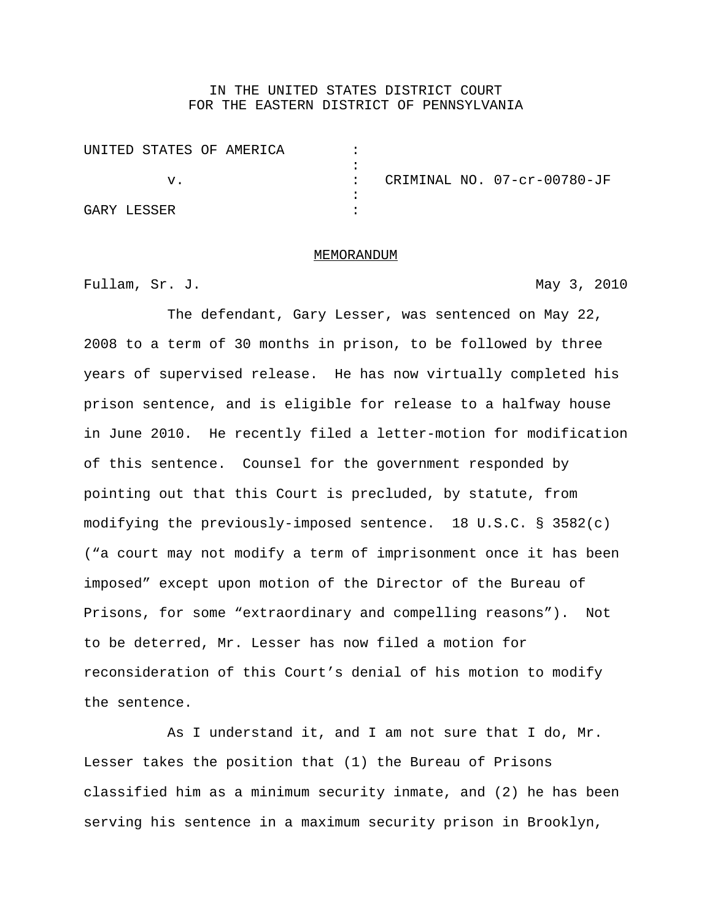## IN THE UNITED STATES DISTRICT COURT FOR THE EASTERN DISTRICT OF PENNSYLVANIA

|             | UNITED STATES OF AMERICA |  |               |  |                             |
|-------------|--------------------------|--|---------------|--|-----------------------------|
|             |                          |  |               |  |                             |
|             | v.                       |  | $\mathcal{L}$ |  | CRIMINAL NO. 07-cr-00780-JF |
|             |                          |  |               |  |                             |
| GARY LESSER |                          |  |               |  |                             |

## MEMORANDUM

Fullam, Sr. J. May 3, 2010

The defendant, Gary Lesser, was sentenced on May 22, 2008 to a term of 30 months in prison, to be followed by three years of supervised release. He has now virtually completed his prison sentence, and is eligible for release to a halfway house in June 2010. He recently filed a letter-motion for modification of this sentence. Counsel for the government responded by pointing out that this Court is precluded, by statute, from modifying the previously-imposed sentence. 18 U.S.C. § 3582(c) ("a court may not modify a term of imprisonment once it has been imposed" except upon motion of the Director of the Bureau of Prisons, for some "extraordinary and compelling reasons"). Not to be deterred, Mr. Lesser has now filed a motion for reconsideration of this Court's denial of his motion to modify the sentence.

As I understand it, and I am not sure that I do, Mr. Lesser takes the position that (1) the Bureau of Prisons classified him as a minimum security inmate, and (2) he has been serving his sentence in a maximum security prison in Brooklyn,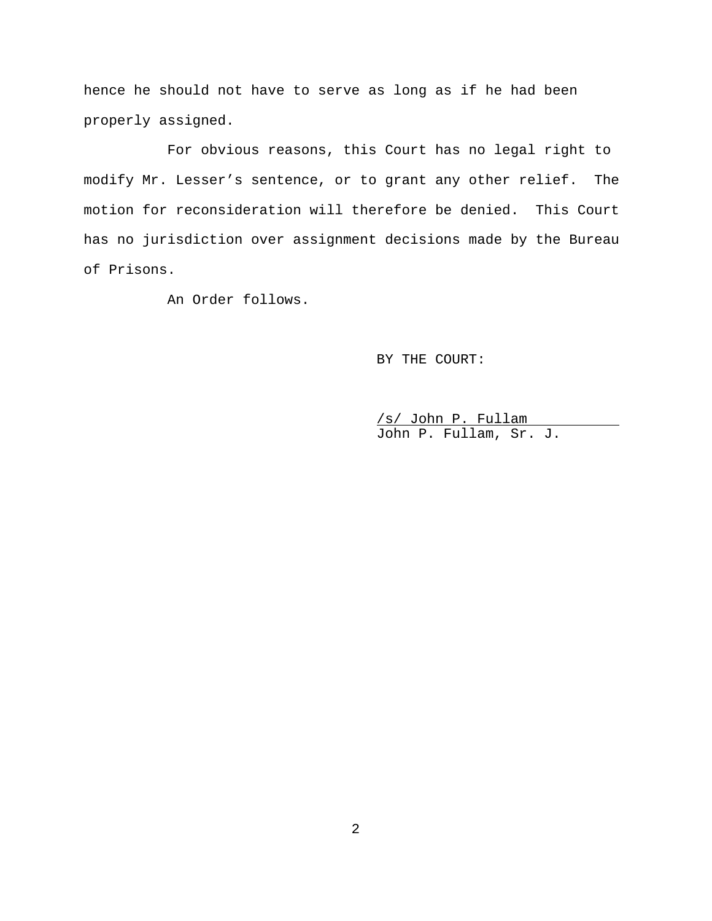hence he should not have to serve as long as if he had been properly assigned.

For obvious reasons, this Court has no legal right to modify Mr. Lesser's sentence, or to grant any other relief. The motion for reconsideration will therefore be denied. This Court has no jurisdiction over assignment decisions made by the Bureau of Prisons.

An Order follows.

BY THE COURT:

/s/ John P. Fullam John P. Fullam, Sr. J.